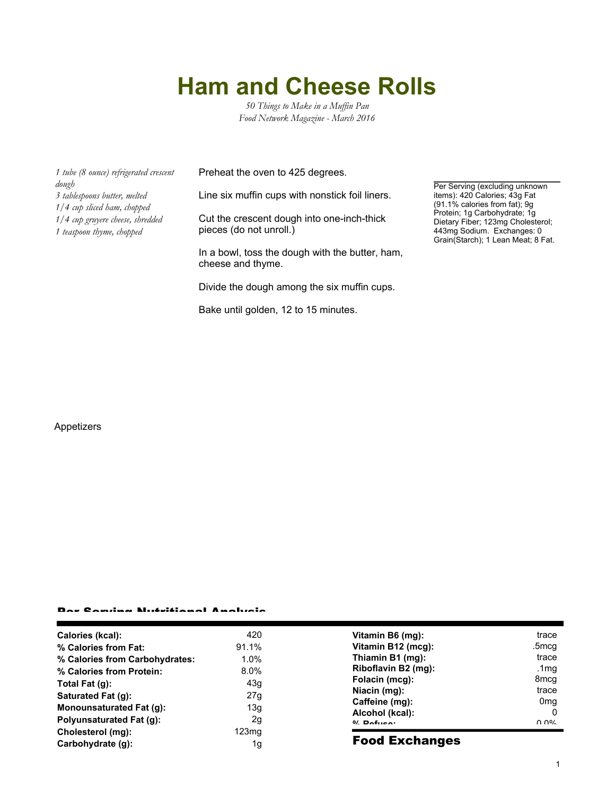## **Ham and Cheese Rolls**

*50 Things to Make in a Muffin Pan Food Network Magazine - March 2016*

*1 tube (8 ounce) refrigerated crescent dough 3 tablespoons butter, melted 1/4 cup sliced ham, chopped 1/4 cup gruyere cheese, shredded 1 teaspoon thyme, chopped*

Preheat the oven to 425 degrees.

Line six muffin cups with nonstick foil liners.

Cut the crescent dough into one-inch-thick pieces (do not unroll.)

In a bowl, toss the dough with the butter, ham, cheese and thyme.

Divide the dough among the six muffin cups.

Bake until golden, 12 to 15 minutes.

Per Serving (excluding unknown items): 420 Calories; 43g Fat (91.1% calories from fat); 9g Protein; 1g Carbohydrate; 1g Dietary Fiber; 123mg Cholesterol; 443mg Sodium. Exchanges: 0 Grain(Starch); 1 Lean Meat; 8 Fat.

## Appetizers

## Per Serving Nutritional Analysis

| በ በ%<br>$0/2$ Pofileo:             |
|------------------------------------|
|                                    |
|                                    |
| Alcohol (kcal):<br>-0              |
| Caffeine (mg):<br>0 <sub>mg</sub>  |
| Niacin (mg):<br>trace              |
| Folacin (mcg):<br>8 <sub>mcg</sub> |
| Riboflavin B2 (mg):<br>.1mg        |
| Thiamin B1 (mg):<br>trace          |
| Vitamin B12 (mcg):<br>.5mcg        |
| Vitamin B6 (mg):<br>trace          |
|                                    |